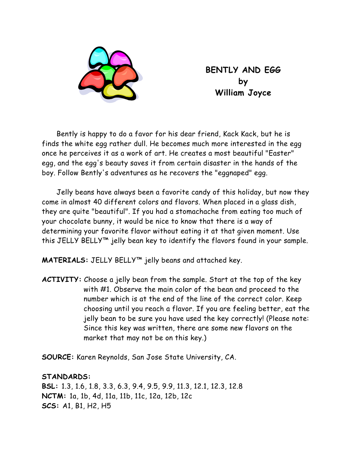

**BENTLY AND EGG by William Joyce** 

Bently is happy to do a favor for his dear friend, Kack Kack, but he is finds the white egg rather dull. He becomes much more interested in the egg once he perceives it as a work of art. He creates a most beautiful "Easter" egg, and the egg's beauty saves it from certain disaster in the hands of the boy. Follow Bently's adventures as he recovers the "eggnaped" egg.

Jelly beans have always been a favorite candy of this holiday, but now they come in almost 40 different colors and flavors. When placed in a glass dish, they are quite "beautiful". If you had a stomachache from eating too much of your chocolate bunny, it would be nice to know that there is a way of determining your favorite flavor without eating it at that given moment. Use this JELLY BELLY™ jelly bean key to identify the flavors found in your sample.

**MATERIALS:** JELLY BELLY™ jelly beans and attached key.

**ACTIVITY:** Choose a jelly bean from the sample. Start at the top of the key with #1. Observe the main color of the bean and proceed to the number which is at the end of the line of the correct color. Keep choosing until you reach a flavor. If you are feeling better, eat the jelly bean to be sure you have used the key correctly! (Please note: Since this key was written, there are some new flavors on the market that may not be on this key.)

**SOURCE:** Karen Reynolds, San Jose State University, CA.

## **STANDARDS:**

**BSL:** 1.3, 1.6, 1.8, 3.3, 6.3, 9.4, 9.5, 9.9, 11.3, 12.1, 12.3, 12.8 **NCTM:** 1a, 1b, 4d, 11a, 11b, 11c, 12a, 12b, 12c **SCS:** A1, B1, H2, H5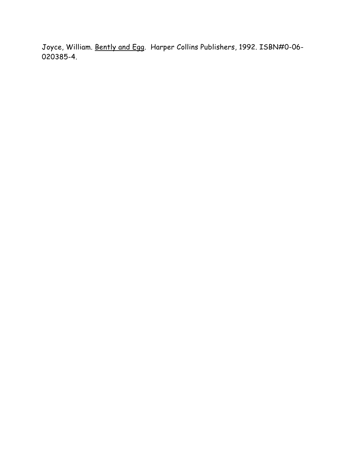Joyce, William. Bently and Egg. Harper Collins Publishers, 1992. ISBN#0-06- 020385-4.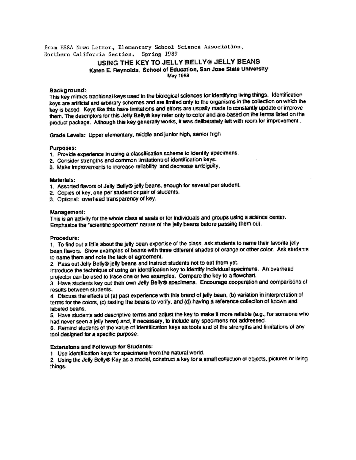from ESSA News Letter, Elementary School Science Association. Northern California Section. Spring 1989

### USING THE KEY TO JELLY BELLY® JELLY BEANS Karen E. Reynolds, School of Education, San Jose State University **May 1988**

#### Background:

This key mimics traditional keys used in the biological sciences for identifying living things. Identification keys are artificial and arbitrary schemes and are limited only to the organisms in the collection on which the key is based. Keys like this have limitations and efforts are usually made to constantly update or improve them. The descriptors for this Jelly Belly® key refer only to color and are based on the terms listed on the product package. Although this key generally works, it was deliberately left with room for improvement.

Grade Levels: Upper elementary, middle and junior high, senior high

#### Purposes:

- 1. Provide experience in using a classification scheme to identify specimens.
- 2. Consider strengths and common limitations of identification keys.
- 3. Make improvements to increase reliability and decrease ambiguity.

#### **Materials:**

- 1. Assorted flavors of Jelly Belly® jelly beans, enough for several per student.
- 2. Copies of key, one per student or pair of students.
- 3. Optional: overhead transparency of key.

#### Management:

This is an activity for the whole class at seats or for individuals and groups using a science center. Emphasize the "scientific specimen" nature of the jelly beans before passing them out.

#### Procedure:

1. To find out a little about the jelly bean expertise of the class, ask students to name their favorite jelly bean flavors. Show examples of beans with three different shades of orange or other color. Ask students to name them and note the lack of agreement.

2. Pass out Jelly Belly® jelly beans and instruct students not to eat them yet.

Introduce the technique of using an identification key to identify individual specimens. An overhead projector can be used to trace one or two examples. Compare the key to a flowchart.

3. Have students key out their own Jelly Belly® specimens. Encourage cooperation and comparisons of results between students.

4. Discuss the effects of (a) past experience with this brand of jelly bean, (b) variation in interpretation of terms for the colors, (c) tasting the beans to verify, and (d) having a reference collection of known and labeled beans.

5. Have students add descriptive terms and adjust the key to make it more reliable (e.g., for someone who had never seen a jelly bean) and, if necessary, to include any specimens not addressed.

6. Remind students of the value of identification keys as tools and of the strengths and limitations of any tool designed for a specific purpose.

#### **Extensions and Followup for Students:**

1. Use identification keys for specimens from the natural world.

2. Using the Jelly Belly® Key as a model, construct a key for a small collection of objects, pictures or living things.